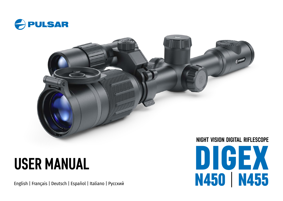



# **USER MANUAL**

English | Français | Deutsch | Español | Italiano | Русский

DIGEX N450 | N455 **NIGHT VISION DIGITAL RIFLESCOPE**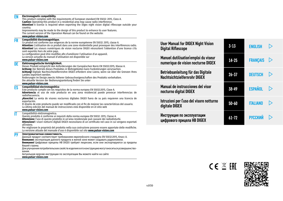| <b>EN</b> | Electromagnetic compatibility.<br>This product complies with the requirements of European standard EN 55032: 2015, Class A.<br><b>Caution:</b> Operating this product in a residential area may cause radio interference.<br><b>Attention!</b> A license is required when exporting the Digex night vision digital riflescope outside your<br>country.<br>Improvements may be made to the design of this product to enhance its user features.<br>The current version of the Operation Manual can be found on the website:<br>www.pulsar-vision.com |  |                                              |
|-----------|-----------------------------------------------------------------------------------------------------------------------------------------------------------------------------------------------------------------------------------------------------------------------------------------------------------------------------------------------------------------------------------------------------------------------------------------------------------------------------------------------------------------------------------------------------|--|----------------------------------------------|
| FR        | Compatibilité électromagnétique.<br>Ce produit est conforme aux exigences de la norme européenne EN 55032: 2015, classe A.<br>Attention: L'utilisation de ce produit dans une zone résidentielle peut provoquer des interférences radio.<br>Attention! Les viseurs numériques de vision nocturne DIGEX nécessitent l'obtention d'une licence s'ils<br>sont exportés hors de votre pays.                                                                                                                                                             |  | <b>User Manual</b><br><b>Digital Rifles</b>  |
| DE        | La configuration peut être modifiée afin d'améliorer l'utilisation d'un appareil.<br>La version actuelle du manuel d'utilisation est disponible sur<br>www.pulsar-vision.com<br>Elektromagnetische Verträglichkeit.                                                                                                                                                                                                                                                                                                                                 |  | <b>Manuel dutili</b><br>numerique de         |
|           | Dieses Produkt entspricht den Anforderungen der Europäischen Norm EN 55032:2015, Klasse A.<br>Achtung: Der Betrieb dieses Produktes in Wohngebieten kann Funkstörungen verursachen.<br>Achtung! Digitale Nachtsichtzielfernrohre DIGEX erfordern eine Lizenz, wenn sie über die Grenzen Ihres<br>Landes exportiert werden.<br>Änderungen im Design zwecks höherer Gebrauchseigenschaften des Produkts vorbehalten.<br>Die aktuelle Version der Bedienungsanleitung finden Sie unter                                                                 |  | <b>Betriebsanlei</b><br><b>Nachtsichtzie</b> |
| ES        | www.pulsar-vision.com<br>Compatibilidad electromagnética<br>Este producto cumple con los requisitos de la norma europea EN 55032:2015, Clase A.<br>Advertencia: el uso de este producto en una zona residencial puede provocar interferencias de<br>radiofrecuencia.                                                                                                                                                                                                                                                                                |  | <b>Manual de in:</b><br>nocturno digi        |
|           | <b>Atención!</b> La venta de visores nocturnos digitales DIGEX fuera de su país requieren una licencia de<br>exportación.<br>El diseño de este producto puede ser modificado con el fin de mejorar las características del usuario.<br>La última edición del manual de instrucciones está disponible en el sitio web<br>www.pulsar-vision.com                                                                                                                                                                                                       |  | Istruzioni per<br>digitale DIGE              |
| IT        | Compatibilità elettromagnetica.<br>Questo prodotto è conforme ai requisiti della norma europea EN 55032: 2015, Classe A.<br>Attenzione: l'uso di questo prodotto in un'area residenziale può causare dei radiodisturbi.<br>Attenzione! I visori notturni digitali DIGEX necessitano di un certificato nel caso in cui vengano esportati<br>all'estero.                                                                                                                                                                                              |  | Инструкция і<br>цифрового п                  |
|           | Per migliorare le proprietà del prodotto nella sua costruzione possono essere apportate delle modifiche.<br>La versione attuale del manuale d'uso è disponibile sul sito www.pulsar-vision.com                                                                                                                                                                                                                                                                                                                                                      |  |                                              |
| <b>PY</b> | Электромагнитная совместимость.<br>Данный продукт соответствует требованиям европейского стандарта EN 55032:2015, Класс А.<br>Внимание: эксплуатация данного продукта в жилой зоне может создавать радиопомехи.<br>Внимание! Цифровые прицелы НВ DIGEX требуют лицензии, если они экспортируются за пределы<br>Вашей страны.<br>Для улучшения потребительских свойств изделия в его конструкцию могут вноситься усовершенство-<br>вания.<br>Актуальную версию инструкции по эксплуатации Вы можете найти на сайте<br>www.pulsar-vision.com          |  |                                              |

| <b>User Manual for DIGEX Night Vision</b><br><b>Digital Riflescope</b>     | $3 - 13$  | <b>ENGLISH</b>  | $\triangleright$ |
|----------------------------------------------------------------------------|-----------|-----------------|------------------|
| Manuel dutilisation'emploi du viseur<br>numerique de vision nocturne DIGEX | $14 - 25$ | <b>FRANÇAIS</b> | $\triangleright$ |
| Betriebsanleitung für das Digitale<br><b>Nachtsichtzielfernrohr DIGEX</b>  | $26 - 37$ | <b>DEUTSCH</b>  | $\mathord{\rhd}$ |
| Manual de instrucciones del visor<br>nocturno digital DIGEX                | 38-49     | <b>ESPAÑOL</b>  | $\triangleright$ |
| Istruzioni per l'uso del visore notturno<br>digitale DIGEX                 | $50 - 60$ | <b>ITALIANO</b> | $\triangleright$ |
| Инструкция по эксплуатации<br>цифрового прицела HB DIGEX                   | $61 - 72$ | <b>РУССКИЙ</b>  |                  |
|                                                                            |           |                 |                  |

CE X EHI

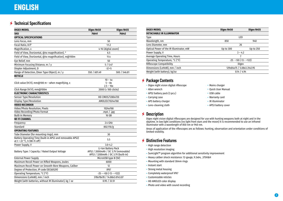## <span id="page-2-0"></span>**Technical Specifications**

<span id="page-2-2"></span><span id="page-2-1"></span>

| <b>DIGEX MODEL</b>                                             | Digex N450                           | Digex N455                          |
|----------------------------------------------------------------|--------------------------------------|-------------------------------------|
| <b>SKU</b>                                                     | 76641                                | 76642                               |
| <b>OPTICAL SPECIFICATIONS</b>                                  |                                      |                                     |
| Lens Focus, mm                                                 |                                      | 50                                  |
| Focal Ratio, D/f'                                              |                                      | 1:1.2                               |
| Magnification, x                                               |                                      | 4-16 (digital zoom)                 |
| Field of View, (horizontal, @4x magnification), °              |                                      | 6.5                                 |
| Field of View, (horizontal, @4x magnification), m@100m         |                                      | 11.4                                |
| Eye Relief, mm                                                 |                                      | 50                                  |
| Minimum Focusing Distance, m / y                               |                                      | 5/5.47                              |
| Diopter Adjustment, D                                          |                                      | $-3/+5$                             |
| Range of Detection, (Deer Type Object), m / y                  | 550 / 601.49                         | 500 / 546.81                        |
| <b>RETICLE</b>                                                 |                                      |                                     |
|                                                                |                                      | $10 - 4x$                           |
| Click value (H/V), $mm@100~m$ – when magnifying, x             |                                      | $5 - 8x$                            |
|                                                                |                                      | $2.5 - 16x$                         |
| Click Range (H/V), mm@100m                                     |                                      | 2000 (± 100 clicks)                 |
| <b>ELECTRONIC CHARACTERISTICS</b>                              |                                      |                                     |
| Sensor Type/Resolution                                         |                                      | HD CMOS/1280x720                    |
| Display Type/Resolution                                        |                                      | AMOLED/1024x768                     |
| <b>VIDEO RECORDER</b>                                          |                                      |                                     |
| Video/Photo Resolution, Pixels<br>Video Recording/Photo Format |                                      | 1024x768                            |
| <b>Built-In Memory</b>                                         | .mp4 $/$ .jpg<br>16 GB               |                                     |
| <b>WI-FI CHANNEL</b>                                           |                                      |                                     |
| Frequency                                                      |                                      | 2.4 GHz                             |
| <b>Standard</b>                                                |                                      | 802.11b/g                           |
| <b>OPERATING FEATURES</b>                                      |                                      |                                     |
| Tube Diameter (for mounting rings), mm                         |                                      | 30                                  |
| Battery Operating Time (built-in APS3 and removable APS2)      |                                      |                                     |
| at t = 22 °C, h (Wi-Fi off)                                    |                                      | 5.5                                 |
| Power Supply, V                                                |                                      | $3.0 - 4.2$                         |
|                                                                |                                      | Li-Ion Battery Pack                 |
| Battery Type / Capacity / Rated Output Voltage                 | APS2 / 2000mAh / DC 3.7V (removable) |                                     |
|                                                                |                                      | APS3 / 3200mAh / DC 3.7V (built-in) |
| <b>External Power Supply</b>                                   |                                      | MicroUSB type B (5V)                |
| Maximum Recoil Power on Rifled Weapons, Joules                 |                                      | 6000                                |
| Maximum Recoil Power on Smooth-Bore Weapons, Caliber           |                                      | 12                                  |
| Degree of Protection, IP code (IEC60529)                       |                                      | IPX7                                |
| Operating Temperature, °C (°F)                                 |                                      | $-25 - +50$ ( $-13 - +122$ )        |
| Dimensions (LxHxW), mm / inch                                  |                                      | 378x78x78 / 14.88x3.07x3.07         |
| Weight (with batteries, without IR illuminator), kg / oz       |                                      | 0.95 / 33.51                        |

| <b>DIGEX MODEL</b>                                          | Digex N450   | Digex N455               |  |
|-------------------------------------------------------------|--------------|--------------------------|--|
| <b>DETACHABLE IR ILLUMINATOR</b>                            |              |                          |  |
| Type                                                        | LED          |                          |  |
| Wavelength, nm                                              | 850          | 940                      |  |
| Lens Diameter, mm                                           |              | 26                       |  |
| Optical Power of the IR Illuminator, mW                     | Up to 300    | Up to 250                |  |
| Power Supply, V<br>$3 - 4.2$                                |              |                          |  |
| Average Operating Time, Hours                               | 7            |                          |  |
| Operating Temperature, °C (°F)                              |              | $-25 - +50 (-13 - +122)$ |  |
| Riflescope Compatibility                                    | <b>Digex</b> |                          |  |
| Dimensions (LxHxW), mm / inch<br>129x84x75 / 5.08x3.31x2.95 |              |                          |  |
| Weight (with battery), kg/oz                                | 0.14 / 4.94  |                          |  |
|                                                             |              |                          |  |

## **≯ Package Contents**

- Digex night vision digital riflescope
- Allen wrench
- APS2 battery pack (3 pcs.)
- Carrying case
- APS battery charger
- Lens-cleaning cloth

#### **★ Description**

Digex night vision digital riflescopes are designed for use with hunting weapons both at night and in the daytime. In low light conditions (no light from stars and the moon) it is recommended to use an infrared illuminator with a wavelength of 850 nm or 940 nm.

Areas of application of the riflescopes are as follows: hunting, observation and orientation under conditions of limited visibility.

## **★ Distinctive Features**

- High range detection
- High resolution imaging
- SumLight™ program algorithm for additional sensitivity improvement
- Heavy caliber shock resistance: 12-gauge, 9.3x64, .375H&H
- Mounting with standard 30mm rings
- Instant start
- Strong metal housing
- Completely waterproof IPX7
- Customizable reticles
- HD AMOLED color display
- Photo and video with sound recording
- Mains charger • Quick User Manual
- USB cable
- Warranty card
- IR illuminator
- APS3 battery cover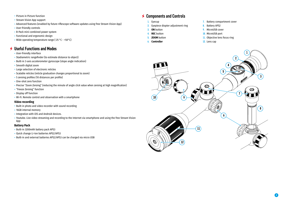- Picture in Picture function
- Stream Vision App support
- Advanced features (enabled by future riflescope software updates using free Stream Vision App)
- User-friendly controls
- B-Pack mini combined power system
- Functional and ergonomic design
- Wide operating temperature range (-25 °С +50°С)

## **Useful Functions and Modes**

- User-friendly interface
- Stadiametric rangefinder (to estimate distance to object)
- Built-in 3-axis accelerometer gyroscope (slope angle indication)
- Smooth digital zoom
- Large selection of electronic reticles
- Scalable reticles (reticle graduation changes proportional to zoom)
- 5 zeroing profiles (10 distances per profile)
- One-shot zero function
- Precise "Zoom Zeroing" (reducing the minute of angle click value when zeroing at high magnification)
- "Freeze Zeroing" function
- Display off function
- Wi-Fi. Remote control and observation with a smartphone

#### **Video recording**

- Built-in photo and video recorder with sound recording
- 16GB internal memory
- Integration with iOS and Android devices.
- Youtube. Live video streaming and recording to the Internet via smartphone and using the free Stream Vision App

#### **Battery Pack**

- Built-in 3200mAh battery pack APS3
- Quick change Li-Ion batteries APS2/APS3
- Built-in and external batteries APS2/APS3 can be charged via micro USB

## **★ Components and Controls**

- **1.** Eyecup
- **2.** Eyepiece diopter adjustment ring
- **3. ON** button
- **4. REC** button
- **5. ZOOM** button
- **6. Controller**
- **7.** Battery compartment cover
- **8.** Battery APS2
- **9.** MicroUSB cover
- **10.** MicroUSB port
- **11.** Objective lens focus ring
- **12.** Lens cap

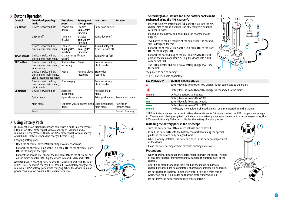## **4** Buttons Operation

| <b>Control</b>     | <b>Condition/operating</b><br>mode                                            | <b>First short</b><br>press                             | <b>Subsequent</b><br>short presses | Long press                              | <b>Rotation</b>            |
|--------------------|-------------------------------------------------------------------------------|---------------------------------------------------------|------------------------------------|-----------------------------------------|----------------------------|
| <b>ON button</b>   | Device is switched off                                                        | Powers on<br>device                                     | Enables<br>SumLight™<br>function   | Powers on device                        |                            |
|                    | Display off                                                                   | Turns on<br>display                                     | Enables<br>SumLight™<br>function   | Turns device off                        |                            |
|                    | Device is switched on,<br>quick menu, main menu                               | Enables<br>SumLight™<br>function                        | Turns off<br>SumLight™<br>function | Turns display off<br>/ turns device off |                            |
| <b>ZOOM button</b> | Device is switched on,<br>quick menu, main menu                               | Changes magnification<br>(zoom)                         |                                    | Turns PiP on/off                        |                            |
| <b>REC button</b>  | Device is switched on,<br>quick menu, main menu,<br>video mode                | Starts video<br>recording                               | Pause                              | Switches video/<br>photo modes          | $\overline{\phantom{a}}$   |
|                    | Device is switched on,<br>quick menu, main menu,<br>video recording activated | Pause                                                   | Resume video<br>recording          | Stop video<br>recording                 |                            |
|                    | Device is switched on,<br>quick menu, main menu,<br>photo mode                | Photography                                             |                                    | Switches video/<br>photo modes          |                            |
| <b>Controller</b>  | Device is switched on                                                         | Accesses<br>quick menu                                  |                                    | Accesses main<br>menu                   |                            |
|                    | <b>Ouick menu</b>                                                             | Upwards navigation                                      |                                    | Exits quick menu                        | Parameter change           |
|                    | Main menu                                                                     | Confirms values, enters menu Exits menu items,<br>items |                                    | main menu                               | Navigation<br>through menu |
|                    | Zoom                                                                          |                                                         |                                    |                                         | Smooth Zooming             |

## **Using Battery Pack**

DIGEX night vision digital riflescopes come with a built-in rechargeable Lithium-Ion APS3 battery pack with a capacity of 3200mAh and a removable rechargeable Lithium-Ion APS2 battery pack with a capacity of 2000mAh. Batteries should be charged before using.

Charging battery pack:

- Open the MicroUSB cover **(9)** by turning it counterclockwise.
- Connect the MicroUSB plug of the USB cable **(16)** to the MicroUSB port **(10)** in the body of the sight.
- Connect the second USB plug of the USB cable **(16)** to the MicroUSB port on the mains adapter **(17)**. Plug the device into a 100-240V socket **(18)**.

**Attention!** When charging batteries via the MicroUSB port **(10)**, the builtin APS3 battery pack is charged first. When it is completely charged, the removable APS2 battery pack starts charging. When the device is in use, power consumption occurs in the reverse sequence.

## $18$  $\overline{\Box}$  $\bigcirc$  $10^{\circ}$

#### **The rechargeable Lithium-Ion APS2 battery pack can be recharged using the APS charger\*.**

- Insert the APS2\*\* battery pack **(8)** along the rail into the APS charger slot as far as it will go. The APS charger is supplied with your device.
- Point **A** on the battery and point **B** on the charger should aligned.
- Two batteries can be charged at the same time: the second slot is designed for this.
- Connect the MicroUSB plug of the USB cable **(16)** to the port **(14)** of the charger **(13)**.
- Connect the second plug of the USB cable **(16)** to the USB port on the mains adapter **(17)**. Plug the device into a 100- 240V socket **(18)**.
- The LED indicator **(15)** will display battery charge level (see the table).
- \*Supplied as part of package.
- \*\* APS3 batteries sold separately.

| <b>LED INDICATOR*</b>          | <b>BATTERY CHARGE STATUS</b>                                                |
|--------------------------------|-----------------------------------------------------------------------------|
| $\bullet$                      | Battery level is from 0% to 10%. Charger is not connected to the mains.     |
| 薄                              | Battery level is from 0% to 10%. Charger is connected to the mains.         |
| $\bullet\bullet\bullet\bullet$ | Defective battery. Do not use.                                              |
| $\bullet$                      | Battery level is from 10% to 20%.                                           |
| $\bullet\bullet$               | Battery level is from 20% to 60%.                                           |
| $\bullet\bullet\bullet$        | Battery level is from 60% to 95%.                                           |
| $\bullet\bullet\bullet\bullet$ | The battery is completely charged and can be disconnected from the charger. |

\* LED indicator displays the current battery charge status for 30 seconds when the APS charger is not plugged in. When power is being supplied, the indicator is constantly displaying the current battery charge status, the LEDs are additionally flickering to display the battery charging process.

#### **Installing the battery pack in the riflescope**

- Turn the battery cover **(7)** counterclockwise and remove it.
- Install the battery **(8)** into the battery compartment using the special guides in the device body designed for it.
- When properly installed, the battery is fixed in the battery compartment of the device.
- Close the battery compartment cover **(7)**, turning it clockwise.

#### **Precautions**

- When charging, always use the charger supplied with the scope. The use of any other charger may permanently damage the battery pack or the charger.
- After being stored for a long time, the battery should be partially charged: it should not be completely charged or completely discharged.
- Do not charge the battery immediately after bringing it from cold to warm. Wait for 30-40 minutes so that the battery may warm up.
- Do not leave the battery unattended while charging.



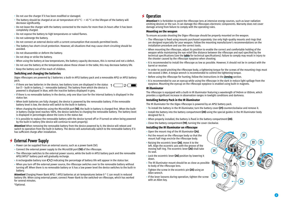- Do not use the charger if it has been modified or damaged.
- The battery should be charged at an air temperature of 0 °C + 45 °C or the lifespan of the battery will decrease significantly.
- Do not leave the charger with the battery connected to the mains for more than 24 hours after it has been completely charged.
- Do not expose the battery to high temperatures or naked flames.
- Do not submerge the battery.
- Do not connect an external device with a current consumption that exceeds permitted levels.
- The battery has short-circuit protection. However, all situations that may cause short-circuiting should be avoided.
- Do not disassemble or deform the battery.
- Do not drop or strike the battery.
- When using the battery at low temperatures, the battery capacity decreases, this is normal and not a defect.
- Do not use the battery at the temperatures above those shown in the table, this may decrease battery life.
- Keep the battery out of the reach of children.

#### **Switching and changing the batteries**

Digex riflescopes are powered by 2 batteries: a built-in APS3 battery pack and a removable APS2 or APS3 battery pack.

- If there are two batteries in the device, two battery icons are displayed in the status  $\rightarrow$  1 bar (1 - built-in battery, 2 - removable battery). The battery from which the device is powered is displayed in blue, with the inactive battery displayed in grey.
- If there is no removable battery in the device, only one blue icon for the internal battery is displayed in the status bar.
- When both batteries are fully charged, the device is powered by the removable battery. If the removable battery level is low, the device will switch to the built-in battery.
- When charging the batteries using the MicroUSB port **(10)**, the built-in battery is charged first. When the builtin battery charge level reaches 100%, the device switches to charging the removable battery. The battery level is displayed in percentages above the icons in the status bar.
- It is possible to replace the removable battery with the device turned off or if turned on when being powered by the built-in battery (the device will continue to work properly).

**Attention!** When removing the removable battery from the device powered by it, the device will reboot and switch to operation from the built-in battery. The device will automatically switch to the removable battery if it has sufficient charge after installation.

## **External Power Supply**

- Power can be supplied from an external source, such as a power bank (5V).
- Connect the external power supply to the MicroUSB port **(10)** of the riflescope.
- The riflescope switches to the external power source, while the built-in APS3 battery pack and the removable APS2/APS3\* battery pack will gradually recharge.
- A rechargeable battery icon  $\mathsf{I} \neq \mathsf{I}$  indicating the percentage of battery life will appear in the status bar.
- When you turn off the external power source, the riflescope switches over to the removable battery without turning off. When there is no removable battery or it has a low power level the device switches to the built-in battery.

**Attention!** Charging Power Bank APS2 / APS3 batteries at air temperatures below 0 ° C can result in reduced battery life. When using external power, connect Power Bank to the switched-on riflescope, which has worked for several minutes.

#### \*Optional.

## **★ Operation**

**Attention!** It is forbidden to point the riflescope lens at intensive energy sources, such as laser radiation emitting devices or the sun. It can damage the riflescopes electronic components. Warranty does not cover damage arising from failure to comply with the operating rules.

#### **Mounting on the weapon**

To ensure accurate shooting the Digex riflescope should be properly mounted on the weapon.

- The riflescope is fixed using mounts purchased separately. Use only high-quality mounts and rings that are designed especially for your weapon. Follow the mounting manufacturer's recommendations on the installation procedure and use the correct tools.
- When mounting the riflescope, adjust its position to enable the correct and comfortable holding of the weapon while maintaining the eye relief (the distance between the riflescope and eye) specified by the technical specifications (see the **[table](#page-2-1)** for technical specifications). Failure to comply may result in injury to the shooter caused by the riflescope eyepiece when shooting.
- It is recommended to install the riflescope as low as possible. However, it should not be in contact with the barrel or receiver.
- In order to avoid pinching the riflescope body, a tightening torque for the screws of the mounting rings must not exceed 2.5Nm. A torque wrench is recommended to control the tightening torque.
- Before using the riflescope for hunting, follow the instructions in the **[Zeroing](#page-6-0)** section.
- It is recommended to use an eyecup while using the riflescope in the dark in reduce light spillage from the eyepiece. Mounting the eyecup on the riflescope eyepiece is enabled using built-in magnets.

#### **IR illuminator**

The riflescope is equipped with a built-in IR illuminator featuring a wavelength of 940nm or 850nm, which provides a significant increase in observation ranges in lowlight conditions and darkness.

#### **Installing Battery Pack in the IR illuminator**

The IR illuminator for the Digex riflescope is powered by an APS2 battery pack.

- To install the battery in the IR illuminator, turn the battery cover **(21)** counterclockwise and remove it.
- Install the battery into the battery compartment **(20)** using the special guides in the IR illuminator body designed for it.

**25**

**19**

**26**

**24**

**23**

**27**

**20**

**22**

- When properly installed, the battery is fixed in the battery compartment **(20)**.
- Close the battery compartment **(19)**, turning the cover clockwise.

#### **Installing the IR illuminator on riflescope**

- Open the mount ring of the IR illuminator **(24).**
- Put the mount on the riflescope body so that the mount half rings encircle the riflescope body.
- Raising the eccentric lever **(26)**, move it to the left. Align the eccentric axis with the groove of the moving half ring. The eccentric lever **(26)** shall take its seat.
- Lock the eccentric lever **(26)** position by lowering it down.
- The IR illuminator mount should be as close as possible to body of the riflescope lens.
- Tighten the screw in the eccentric pin **(25)** using an Allen wrench.
- If the lever loosens during operation, tighten the screw with an Allen key.

**21**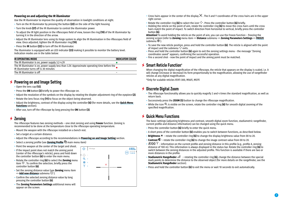#### **Powering on and adjusting the IR illuminator**

Use the IR illuminator to improve the quality of observation in lowlight conditions at night.

- Turn on the IR illuminator by pressing the button **(22)** on the side of the light housing.
- Turn the knob **(27)** of the IR illuminator to control the illuminator power.
- To adjust the IR light position in the riflescopes field of view, loosen the ring **(19)** of the IR illuminator by turning it in the direction of the arrow.
- Adjust the IR illuminator lens using its hinge system to align the IR illumination in the riflescopes field of view. Once adjusted, tighten the IR illuminator ring **(19)**.
- Press the **IR** button **(22)** to turn off the IR illuminator.

The illuminator is equipped with an LED indicator **(23)** making it possible to monitor the battery level. Indication modes are in the table below:

| <b>IR OPERATING MODE</b>                                                                                                               | <b>INDICATOR COLOR</b> |
|----------------------------------------------------------------------------------------------------------------------------------------|------------------------|
| The IR illuminator is on, power supply 3.2-4.2V                                                                                        |                        |
| The IR illuminator is on, power supply less than 3.2V. Approximate operating time before the<br>IR illuminator turns off is 30 minutes |                        |
| The IR illuminator is off                                                                                                              | -                      |

## <span id="page-6-2"></span>**► Powering on and Image Setting**

- Open the lens cap **(12)**.
- Press the **ON** button **(3)** briefly to power the riflescope on.
- Adjust the resolution of the symbols on the display by rotating the diopter adjustment ring of the eyepiece **(2)**.
- Rotate the lens focus ring **(11)** to focus on the object being observed.
- Adjust the brightness, contrast of the display using the controller **(6)** (for more details, see the **[Quick Menu](#page-6-1)  [Functions](#page-6-1)** section).
- After use, turn off the riflescope by long pressing the **ON** button **(3)**.

## <span id="page-6-0"></span>**Zeroing**

The riflescope features two zeroing methods – one shot zeroing and using **Freeze** function. Zeroing is recommended to be done at the temperature close to the riflescope operating temperature.

- Mount the weapon with the riflescope installed on a bench rest.
- Set a target at a certain distance.
- Adjust the riflescope according to the recommendations in **[Powering on and Image Setting](#page-6-2)** section.
- Select a zeroing profile (see **[Zeroing Profile](#page-7-0)** main menu item)
- Point the weapon at the center of the target and shoot.
- If the impact point does not match the aiming point (center of the riflescope's reticle), press and hold down the controller button **(6)** to enter the main menu.
- Rotate the controller ring **(6)** to select the **Zeroing** menu item  $\hat{\nabla}$ . To confirm the selection, briefly press the controller button **(6)**.
- Set the zeroing distance value (see **Zeroing** menu item  $\Rightarrow$  **[Add new distance](#page-8-0)** submenu  $\oplus$  ).
- Confirm the selected zeroing distance value by long pressing the controller button **(6)**.
- The **Zeroing Parameters Settings** additional menu will appear on the screen.



- Cross hairs appear in the center of the display  $\times$  . The X and Y coordinates of the cross hairs are in the upper right corner.
- Rotate the controller ring (6) to select the icon  $\hat{x}$  . Press the controller button (6) briefly.
- Holding the reticle on the point of aim, rotate the controller ring **(6)** to move the cross hairs until the cross hairs match the point of impact. To switch direction from horizontal to vertical, briefly press the controller button **(6)**.

**Attention!** To avoid holding the reticle on the point of aim, you can use the Freeze function – freezing the zeroing screen (refer to **Zeroing** menu item => **Distance** submenu => **Zeroing Parameters Settings** => **[FREEZE](#page-8-1)** submenu  $*$ ).

- To save the new reticle position, press and hold the controller button **(6)**. The reticle is aligned with the point of impact and the submenu  $\overrightarrow{A}$  exits.
- Press and hold the controller button **(6)** again to exit the zeroing settings menu the message "Zeroing coordinates saved" appears, confirming the successful operation.
- Fire a second shot now the point of impact and the aiming point must be matched.

## **Smart Reticle Function\***

When changing the digital magnification of the riflescope, the reticle that appears on the display is scaled, i.e. it will change (increase or decrease) its form proportionally to the magnification, allowing the use of rangefinder reticles at any digital magnification.

\*Only for scalable reticles X51Fi-300, M56Fi, M57Fi

## **Discrete Digital Zoom**

- The riflescope functionality allows you to quickly magnify 2 and 4 times the standard magnification, as well as return back.
- Successively press the **ZOOM (5)** button to change the riflescope magnification.
- While the icon  $\Theta$  is visible on the screen, rotate the controller ring (6) for smooth digital zooming of the specified magnification.

## <span id="page-6-1"></span>**Quick Menu Functions**

The basic settings (adjusting brightness and contrast, smooth digital zoom function, stadiametric rangefinder, current profile and distance information) can be changed using the quick menu.

- Press the controller button **(6)** briefly to enter the quick menu.
- A short press of the controller button **(6)** enables you to switch between functions, as described below.
- **Brightness**  rotate the controller ring **(6)** to change the display brightness value from 00 to 20.
- **Contrast**  $\mathbb{O}$  rotate the controller ring (6) to change the image contrast value from 00 to 20.
- $A100$  T information on the current profile and zeroing distance in this profile (e.g., profile A, zeroing distance of 100 m). This information is always displayed in the status bar. Rotate the controller ring **(6)** to switch between the zeroing distances in the adjusted profile. This function is available if there are two or more distances in the profile.
- **Stadiametric Rangefinder**  rotating the controller ring **(6)**, change the distance between the special mark points to determine the distance to the observed object (for more details on the rangefinder, see the **Stadiametric Rangefinder** section).
- Press and hold the controller button **(6)** to exit the menu or wait 10 seconds to exit automatically.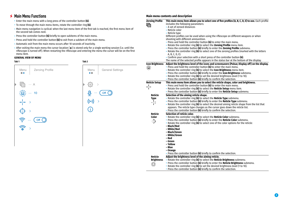## **★ Main Menu Functions**

- Enter the main menu with a long press of the controller button **(6)**.
- To move through the main menu items, rotate the controller ring **(6)**.
- Main menu navigation is cyclical: when the last menu item of the first tab is reached, the first menu item of the second tab comes next.
- Press the controller button **(6)** briefly to open subitems of the main menu.
- Press and hold the controller button **(6)** to exit from a subitem of the main menu.
- Automatic exit from the main menu occurs after 10 seconds of inactivity.
- After exiting the main menu the cursor location ( ▶) is stored only for a single working session (i.e. until the<br>riflescope is turned off). When restarting the riflescope and entering the menu the cursor will be on the menu item.

## **GENERAL VIEW OF MENU**

| Tab 1                                                               | Tab 2                                                  |  |  |
|---------------------------------------------------------------------|--------------------------------------------------------|--|--|
| Zeroing Profile<br>Menu<br><b></b>                                  | Menu<br><b>General Settings</b><br>$\bullet$ $\bullet$ |  |  |
| $\cdots$ A<br>$\widehat{\mathbb{G}}$                                | र्ट्रेंट्रें<br>राज्य<br>$\left\langle \right\rangle$  |  |  |
| 10<br>                                                              | $\overline{\mathcal{Q}}$<br>Off<br>$\cdots$            |  |  |
| $\left\langle \right\rangle$                                        | $((\cdot))$<br>$\bar{\rm{ }}$                          |  |  |
| $\overline{\phantom{0}}$                                            |                                                        |  |  |
| $\left(\begin{matrix} \cdot \end{matrix}\right)$<br>Off<br>$\cdots$ |                                                        |  |  |
| $\widehat{\Phi}$<br>$\bar{\rm{ }}$                                  |                                                        |  |  |
|                                                                     |                                                        |  |  |
|                                                                     |                                                        |  |  |
|                                                                     |                                                        |  |  |
|                                                                     |                                                        |  |  |

#### **Main menu contents and description**

<span id="page-7-0"></span>

| Zeroing Profile        | This main menu item allows you to select one of five profiles (A, B, C, D, E) to use. Each profile |  |  |  |  |
|------------------------|----------------------------------------------------------------------------------------------------|--|--|--|--|
| Ġ                      | includes the following parameters:                                                                 |  |  |  |  |
|                        | • A set of zeroed distances                                                                        |  |  |  |  |
|                        | • Reticle color                                                                                    |  |  |  |  |
|                        | • Reticle type                                                                                     |  |  |  |  |
|                        | Different profiles can be used when using the riflescope on different weapons or when              |  |  |  |  |
|                        |                                                                                                    |  |  |  |  |
|                        | shooting with different ammunition.                                                                |  |  |  |  |
|                        | • Press and hold the controller button (6) to enter the main menu.                                 |  |  |  |  |
|                        | . Rotate the controller ring (6) to select the Zeroing Profile menu item.                          |  |  |  |  |
|                        | • Press the controller button (6) briefly to enter the Zeroing Profile submenu.                    |  |  |  |  |
|                        | • Rotate the controller ring (6) to select one of the zeroing profiles (marked with the letters    |  |  |  |  |
|                        | A, B, C, D, E).                                                                                    |  |  |  |  |
|                        | • Confirm your selection with a short press of the controller button (6).                          |  |  |  |  |
|                        | The name of the selected profile appears in the status bar at the bottom of the display.           |  |  |  |  |
| <b>Icon Brightness</b> | Adjust the brightness level of the icons and screensavers (Pulsar, Display off) on the display.    |  |  |  |  |
| 道:                     | • Press and hold the controller button $(6)$ to enter the main menu.                               |  |  |  |  |
|                        | • Rotate the controller ring (6) to select the Icon Brightness menu item.                          |  |  |  |  |
|                        | • Press the controller button (6) briefly to enter the Icon Brightness submenu.                    |  |  |  |  |
|                        |                                                                                                    |  |  |  |  |
|                        | • Rotate the controller ring $(6)$ to set the desired brightness level (1 to 10).                  |  |  |  |  |
|                        | • Press the controller button (6) briefly to confirm the selection.                                |  |  |  |  |
| Reticle Setup          | This main menu item allows you to select the reticle shape, color and brightness.                  |  |  |  |  |
|                        | • Press and hold the controller button $(6)$ to enter the main menu.                               |  |  |  |  |
| T                      | • Rotate the controller ring $(6)$ to select the <b>Reticle Setup</b> menu item.                   |  |  |  |  |
|                        | • Press the controller button (6) briefly to enter the Reticle Setup submenu.                      |  |  |  |  |
| <b>Reticle</b>         | Selection of the aiming reticle shape.                                                             |  |  |  |  |
| <b>Type</b>            | . Rotate the controller ring (6) to select the Reticle Type submenu.                               |  |  |  |  |
|                        | • Press the controller button (6) briefly to enter the Reticle Type submenu.                       |  |  |  |  |
| -는                     | • Rotate the controller ring (6) to select the desired aiming reticle shape from the list that     |  |  |  |  |
|                        | appears. The reticle type changes as the cursor goes down the reticle list.                        |  |  |  |  |
|                        | • Press the controller button (6) briefly to confirm the selection.                                |  |  |  |  |
|                        | Selection of reticle color.                                                                        |  |  |  |  |
| <b>Reticle</b>         |                                                                                                    |  |  |  |  |
| <b>Color</b>           | • Rotate the controller ring (6) to select the Reticle Color submenu.                              |  |  |  |  |
| रं:े                   | • Press the controller button (6) briefly to enter the Reticle Color submenu.                      |  |  |  |  |
|                        | • Rotate the controller ring $(6)$ to select one of the color options for the reticle:             |  |  |  |  |
|                        | – Black/Red                                                                                        |  |  |  |  |
|                        | – White/Red                                                                                        |  |  |  |  |
|                        | – Black/Green                                                                                      |  |  |  |  |
|                        | – White/Green                                                                                      |  |  |  |  |
|                        | – Red                                                                                              |  |  |  |  |
|                        | – Green                                                                                            |  |  |  |  |
|                        | – Yellow                                                                                           |  |  |  |  |
|                        | – Blue                                                                                             |  |  |  |  |
|                        | – Orange                                                                                           |  |  |  |  |
|                        | • Press the controller button (6) briefly to confirm the selection.                                |  |  |  |  |
| <b>Reticle</b>         |                                                                                                    |  |  |  |  |
|                        | Adjust the brightness level of the aiming reticle.                                                 |  |  |  |  |
| <b>Brightness</b>      | • Rotate the controller ring (6) to select the Reticle Brightness submenu.                         |  |  |  |  |
|                        | . Press the controller button (6) briefly to enter the Reticle Brightness submenu.                 |  |  |  |  |
|                        | • Rotate the controller ring $(6)$ to set the desired brightness level (1 to 10).                  |  |  |  |  |
|                        | • Press the controller button $(6)$ briefly to confirm the selection.                              |  |  |  |  |

**8**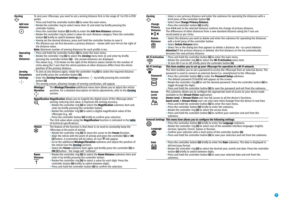<span id="page-8-1"></span><span id="page-8-0"></span>

| Zeroing                                                |                                                                                                                                                                                                                                                                                                                                                                                                                                                    | To zero your riflescope, you need to set a zeroing distance first in the range of 1 to 910 m (995                                                                                                                                                    |  |  |  |  |
|--------------------------------------------------------|----------------------------------------------------------------------------------------------------------------------------------------------------------------------------------------------------------------------------------------------------------------------------------------------------------------------------------------------------------------------------------------------------------------------------------------------------|------------------------------------------------------------------------------------------------------------------------------------------------------------------------------------------------------------------------------------------------------|--|--|--|--|
| <b>Add new</b><br>distance                             | yards).<br>• Press and hold the controller button $(6)$ to enter the main menu.<br>• Rotate the controller ring to select menu item $\Leftrightarrow$ and enter by briefly pressing the<br>controller button.                                                                                                                                                                                                                                      |                                                                                                                                                                                                                                                      |  |  |  |  |
| $^{(+)}$                                               | • Press the controller button (6) briefly to enter the Add New Distance submenu.<br>• Rotate the controller ring to select a value for each distance category. Press the controller<br>button (6) briefly to switch between digits.<br>• Having set the desired distance, press and hold the controller button to save it.<br>• The distance you set first becomes a primary distance - shown with icon >04 on the right of<br>the distance value. |                                                                                                                                                                                                                                                      |  |  |  |  |
|                                                        |                                                                                                                                                                                                                                                                                                                                                                                                                                                    | Note: Maximum number of zeroing distances for each profile is ten.                                                                                                                                                                                   |  |  |  |  |
| <b>Operating</b><br>the<br>distances                   |                                                                                                                                                                                                                                                                                                                                                                                                                                                    | • Press and hold the controller button $(6)$ to enter the main menu.<br>• Rotate the controller ring (6) to select the Zeroing menu item $\oplus$ and enter by briefly<br>pressing the controller button $(6)$ – the zeroed distances are displayed. |  |  |  |  |
|                                                        |                                                                                                                                                                                                                                                                                                                                                                                                                                                    | . The values (e.g., +7.0) shown on the right of the distance values stands for the number of<br>clicks along the Y axis that the reticle position at other distances differs from the reticle<br>position of the primary distance.                   |  |  |  |  |
| <b>Zeroing</b><br><b>Parameters</b><br><b>Settings</b> |                                                                                                                                                                                                                                                                                                                                                                                                                                                    | • To zero at any distance again, rotate the controller ring (6) to select the required distance<br>and briefly press the controller button (6).<br>• Enter the Zeroing Parameters Settings submenu $-\frac{1}{1}$ by briefly pressing the controller |  |  |  |  |
| $\frac{1}{1}$                                          | button (6)                                                                                                                                                                                                                                                                                                                                                                                                                                         |                                                                                                                                                                                                                                                      |  |  |  |  |
|                                                        |                                                                                                                                                                                                                                                                                                                                                                                                                                                    | · The zeroing screen, allowing changes of zeroing coordinates, will appear.                                                                                                                                                                          |  |  |  |  |
|                                                        | The <b>Windage/Elevation</b> additional menu item allows you to adjust the reticle<br>Windage/<br>position. For a detailed description of reticle adjustments, refer to the Zeroing<br>Elevation<br>$\leftarrow_{\perp}^{\uparrow}$<br>section.                                                                                                                                                                                                    |                                                                                                                                                                                                                                                      |  |  |  |  |
|                                                        |                                                                                                                                                                                                                                                                                                                                                                                                                                                    | Magnification Magnification allows you to magnify the digital zoom of the riflescope when                                                                                                                                                            |  |  |  |  |
|                                                        | $\mathop{\mathrm{\mathsf{t}}}$                                                                                                                                                                                                                                                                                                                                                                                                                     | zeroing, reducing click value. It improves the zeroing accuracy.<br>• Rotate the controller ring (6) to select the Magnification submenu item and<br>enter by briefly pressing the controller button.                                                |  |  |  |  |
|                                                        |                                                                                                                                                                                                                                                                                                                                                                                                                                                    | • Rotate the controller ring $(6)$ to select a digital magnification value of the<br>riflescope (e.g., x8).<br>• Press the controller button (6) briefly to confirm your selection.                                                                  |  |  |  |  |
|                                                        |                                                                                                                                                                                                                                                                                                                                                                                                                                                    | The click value when using the Magnification function is indicated in the table<br>of technical specifications.                                                                                                                                      |  |  |  |  |
|                                                        | <b>FREEZE</b>                                                                                                                                                                                                                                                                                                                                                                                                                                      | The feature of the function is that there is no need to constantly keep the                                                                                                                                                                          |  |  |  |  |
|                                                        | ⋇                                                                                                                                                                                                                                                                                                                                                                                                                                                  | riflescope at the point of aiming.                                                                                                                                                                                                                   |  |  |  |  |
|                                                        |                                                                                                                                                                                                                                                                                                                                                                                                                                                    | • Rotate the controller ring (6) to move the cursor to the Freeze function.<br>. Align the reticle with the point of aiming and press the controller (6) or ON                                                                                       |  |  |  |  |
|                                                        |                                                                                                                                                                                                                                                                                                                                                                                                                                                    | (3) button. A screenshot will be taken, an icon * will appear.                                                                                                                                                                                       |  |  |  |  |
|                                                        |                                                                                                                                                                                                                                                                                                                                                                                                                                                    | • Go to the additional <b>Windage/Elevation</b> submenu and adjust the position of                                                                                                                                                                   |  |  |  |  |
|                                                        |                                                                                                                                                                                                                                                                                                                                                                                                                                                    | the reticle (see the <b>Zeroing</b> section).                                                                                                                                                                                                        |  |  |  |  |
|                                                        | • Select the <b>Freeze</b> submenu item again and briefly press the controller (6) or<br>ON (3) button - the image will "unfreeze".                                                                                                                                                                                                                                                                                                                |                                                                                                                                                                                                                                                      |  |  |  |  |
|                                                        | • Rotate the controller ring (6) to select the Name Distance submenu item and<br><b>Name</b>                                                                                                                                                                                                                                                                                                                                                       |                                                                                                                                                                                                                                                      |  |  |  |  |
| <b>Distance</b>                                        |                                                                                                                                                                                                                                                                                                                                                                                                                                                    | enter it by briefly pressing the controller button.                                                                                                                                                                                                  |  |  |  |  |
|                                                        |                                                                                                                                                                                                                                                                                                                                                                                                                                                    | • Rotate the controller ring (6) to select a value for each digit. Press the                                                                                                                                                                         |  |  |  |  |
|                                                        |                                                                                                                                                                                                                                                                                                                                                                                                                                                    | controller button (6) briefly to switch between digits.                                                                                                                                                                                              |  |  |  |  |
|                                                        |                                                                                                                                                                                                                                                                                                                                                                                                                                                    | • Press and hold the controller button (6) to confirm the selection.                                                                                                                                                                                 |  |  |  |  |

<span id="page-8-3"></span><span id="page-8-2"></span>

| <b>Zeroing</b>                   | • Select a non-primary distance and enter the submenu for operating the distances with a                                               |
|----------------------------------|----------------------------------------------------------------------------------------------------------------------------------------|
| ↔                                | brief press of the controller button (6).<br>• Select item Change Primary Distance.                                                    |
| Change                           | • Press the controller button (6) briefly.                                                                                             |
| Primary                          | Icon ▶ 0 ◀ next to the selected distance confirms the change of primary distance.                                                      |
| <b>Distance</b>                  | The differences of other distances from a new standard distance along the Y axis are                                                   |
| ▶0∢                              | recalculated as per clicks.                                                                                                            |
| <b>Delete</b>                    | • Select the distance you wish to delete and enter the submenu for operating the distances                                             |
| <b>Distance</b>                  | with a brief press of the controller button.                                                                                           |
| णि                               | • Select Delete Distance item.                                                                                                         |
|                                  | • Select Yes in the dialog box that appears to delete a distance. No $-$ to cancel deletion.                                           |
|                                  | <b>Attention!</b> If the primary distance is deleted, the first distance on the list automatically                                     |
|                                  | becomes the new primary distance.                                                                                                      |
| <b>Wi-Fi Activation</b>          | • Press and hold the controller button (6) to enter the main menu.                                                                     |
|                                  | . Rotate the controller ring (6) to select the Wi-Fi Activation menu item.                                                             |
|                                  | . To turn Wi-Fi on or off, briefly press the controller button (6).                                                                    |
| Wi-Fi Settings                   | This item enables you to set up your riflescope for operation in a Wi-Fi network.                                                      |
| $\widehat{\boldsymbol{\hat{u}}}$ | This item enables you to set a password to access the riflescope from an external device. The                                          |
| Password                         | password is used to connect an external device (i.e. smartphone) to the riflescope.                                                    |
| Setup                            | • Press the controller button (6) to enter the Password Setup submenu.<br>• The default password (12345678) will appear on the screen. |
|                                  | • Rotate the controller ring (6) to set the desired password. Press the controller button (6) to                                       |
| PAS                              | toggle through the digits.                                                                                                             |
|                                  | • Press and hold the controller button (6) to save the password and exit from the submenu.                                             |
| <b>Access</b>                    | This submenu allows you to configure the appropriate level of access to your device made                                               |
| Level                            | available to the Stream Vision application.                                                                                            |
| <b>Setup</b>                     | <b>Owner Level. A Stream Vision</b> user has full access to all the device's functions.                                                |
| $\tilde{A}^{\circ}$              | <b>Guest Level. A Stream Vision</b> user can only view video footage from the device in real time.                                     |
|                                  | • Press and hold the controller button $(6)$ to enter the main menu.                                                                   |
|                                  | • Press the controller button $(6)$ briefly to enter the submenu.                                                                      |
|                                  | • Rotate the controller ring (6) to select the access level.                                                                           |
|                                  | • Press and hold the controller button (6) to confirm your selection and exit from the                                                 |
|                                  | submenu.                                                                                                                               |
|                                  | General Settings This menu item allows you to configure the following settings:                                                        |
| ပ္လာ့နဲ                          | • Press the controller button (6) briefly to enter the Language submenu.                                                               |
|                                  | • Rotate the controller ring (6) to select one of the available interface languages: English,                                          |
| Language                         | German, Spanish, French, Italian or Russian.                                                                                           |
| ₩                                | • Confirm your selection with a short press of the controller button (6).                                                              |
|                                  | • Press and hold the controller button (6) to save your selection and exit from the submenu.                                           |
| <b>Date</b>                      | • Press the controller button (6) briefly to enter the Date submenu. The date is displayed in                                          |
|                                  | dd/mm/yyyy format.                                                                                                                     |
| Ei                               | • Rotate the controller ring (6) to select the desired year, month and date. Press the controller                                      |
|                                  | button (6) briefly to switch between digits.                                                                                           |
|                                  | • Press and hold the controller button (6) to save your selected date and exit from the                                                |
|                                  | submenu.                                                                                                                               |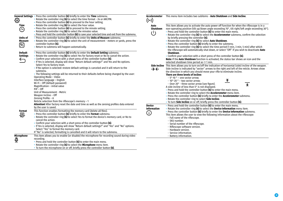<span id="page-9-1"></span><span id="page-9-0"></span>

|                   | General Settings • Press the controller button (6) briefly to enter the Time submenu.                             | Accelerometer            | This menu item includes two subitems - <b>Auto Shutdown</b> and <b>Side Incline</b> .                       |
|-------------------|-------------------------------------------------------------------------------------------------------------------|--------------------------|-------------------------------------------------------------------------------------------------------------|
| <b>दुर्दुरे</b>   | • Rotate the controller ring (6) to select the time format - 24 or AM/PM.                                         | ((•))                    |                                                                                                             |
|                   | • Press the controller button (6) to proceed to the hour setting.                                                 |                          |                                                                                                             |
| Time              | . Rotate the controller ring (6) to select the hour value.                                                        | Auto                     | This item allows you to activate the auto power off function for when the riflescope is in a                |
| $\bigoplus$       | • Press the controller button (6) to proceed to the minute setting.                                               | Shutdown                 | non-operating position (tilt up/down angle exceeding 70°, tilt right/left angle exceeding 30°).             |
|                   | • Rotate the controller ring (6) to select the minutes value.                                                     |                          | • Press and hold the controller button (6) to enter the main menu.                                          |
|                   | . Press and hold the controller button (6) to save your selected time and exit from the submenu.                  | $(\mathsf{I})$           | • Rotate the controller ring (6) to select the Accelerometer submenu, confirm the selection                 |
| <b>Units of</b>   | . Press the controller button (6) briefly to enter the Units of Measure submenu.                                  |                          | by briefly pressing the controller (6).                                                                     |
| <b>Measure</b>    | . Rotate the controller ring (6) to select the unit of measurement - meters or yards, press the                   |                          | . Rotate the controller ring (6) to select Auto Shutdown.                                                   |
|                   | controller button (6).                                                                                            |                          | • Press the controller button (6) briefly to enter the submenu.                                             |
| $\boxtimes$       | • Return to submenu will happen automatically.                                                                    |                          | Rotate the controller ring (6) to select the time period (1 min, 3 min, 5 min) after which                  |
|                   |                                                                                                                   |                          | the riflescope will automatically shut down, or select "Off" if you wish to deactivate Auto                 |
| Default           | . Press the controller button (6) briefly to enter the Default Setting submenu.                                   |                          | Shutdown.                                                                                                   |
| <b>Settings</b>   | . Rotate the controller ring (6) to select Yes for factory reset or No to cancel the action.                      |                          | . Confirm your selection with a short press of the controller button (6).                                   |
|                   | • Confirm your selection with a short press of the controller button (6).                                         |                          | Note: If the Auto Shutdown function is activated, the status bar shows an icon and the                      |
| $\bigcirc$        | . If Yes is selected, display will show "Return default settings?" and Yes and No options.                        |                          | selected shutdown time period as $\circlearrowright$ 1 min.                                                 |
|                   | Select Yes to factory reset.                                                                                      |                          | Side Incline This item allows you to turn on/off the indication of horizontal (side) incline of the weapon. |
|                   | . If No option is selected: restore default settings is canceled and it will return to the                        |                          |                                                                                                             |
|                   | submenu.                                                                                                          | $\rightarrow \leftarrow$ | Side incline is indicated by "sector" arrows to the right and left of the reticle. Arrows show              |
|                   | . The following settings will be returned to their defaults before being changed by the user:                     |                          | the direction in which you should move your rifle to eliminate incline.                                     |
|                   | Operating Mode - Video                                                                                            |                          | There are three levels of incline:                                                                          |
|                   | Interface language - English                                                                                      |                          | $-5^{\circ}$ -10 $^{\circ}$ - one sector arrow;<br>҉                                                        |
|                   | Wi-Fi - Off (default password)                                                                                    |                          | - 10°-20 ° – two sector arrow;                                                                              |
|                   | Magnification - initial value                                                                                     |                          | - Over 20° - three sector arrow (see figure).<br>《                                                          |
|                   | $PIP - Off$                                                                                                       |                          | A side incline of less than 5° is not displayed.                                                            |
|                   | Unit of Measurement - Metric                                                                                      |                          | • Press and hold the controller button (6) to enter the main menu.                                          |
|                   | Weapon Incline - Off                                                                                              |                          | . Rotate the controller ring to select the <b>Accelerometer</b> menu item.                                  |
|                   | Zeroing Profile - A                                                                                               |                          | . Press the controller button (6) briefly to enter the Accelerometer submenu.                               |
|                   | Reticle selection from the riflescope's memory - 1                                                                |                          | . Rotate the controller ring to select Side Incline.                                                        |
|                   | Attention! After factory reset the date and time as well as the zeroing profiles data entered                     |                          | . To turn Side Incline on or off, briefly press the controller button (6).                                  |
|                   | by the user is saved.                                                                                             | <b>Device</b>            | • Press and hold the controller button (6) to enter the main menu.                                          |
|                   | This function enables formatting the memory card (delete all files).                                              | <b>Information</b>       | . Rotate the controller ring (6) to select the Device Information menu item.                                |
| Format            |                                                                                                                   | $\bigcirc$               | . Press the controller button (6) briefly to enter the Device Information submenu.                          |
| 疊                 | • Press the controller button (6) briefly to enter the Format submenu.                                            |                          | This item allows the user to view the following information about the riflescope:                           |
|                   | • Rotate the controller ring (6) to select Yes to format the device's memory card, or No to<br>cancel the action. |                          | - Full name of the riflescope.                                                                              |
|                   | • Confirm your selection with a short press of the controller button (6).                                         |                          | - SKU number.                                                                                               |
|                   | . If Yes is selected, display will show "Return default settings?" and "Yes" and "No" options.                    |                          | - Serial number of the riflescope.                                                                          |
|                   |                                                                                                                   |                          | - Riflescope software version.                                                                              |
|                   | Select "Yes" to format the memory card.                                                                           |                          | - Hardware version.                                                                                         |
|                   | If "No" is selected, formatting is cancelled and it will return to the submenu.                                   |                          | - Service information.                                                                                      |
| <b>Microphone</b> | This item allows you to enable (or disable) the microphone for recording sound during video                       |                          | - Battery information.                                                                                      |
| මි                | recording.                                                                                                        |                          |                                                                                                             |
|                   | . Press and hold the controller button (6) to enter the main menu.                                                |                          |                                                                                                             |
|                   | . Rotate the controller ring (6) to select the Microphone menu item.                                              |                          |                                                                                                             |
|                   | . To turn the microphone on or off, briefly press the controller button (6).                                      |                          |                                                                                                             |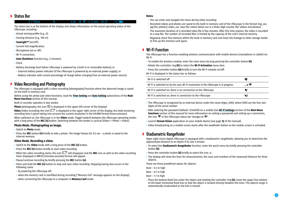## $≤$  **Status Bar**

#### 4.0x  $\otimes$   $\approx$  (b) 5 min 04:37  $\mathbf{z}$

The status bar is at the bottom of the display and shows information on the actual operating status of the riflescope, including:

• Actual zeroing profile (e.g., A).

 $\Delta$  T 100m

- Zeroing distance (e.g., 100 m).
- **SumLight™** (on/off).
- Current full magnification.
- Microphone (on or off).
- Wi-Fi connection.
- **Auto Shutdown** function (e.g., 5 minutes).
- Clock.
- Battery discharge level (when riflescope is powered by a built-in or removable battery), or
- External battery power indicator (if the riflescope is powered by an external power supply), or
- Battery indicator with current percentage of charge (when charging from an external power source).

## **Video Recording and Photography**

The riflescope is equipped with a video recording (photography) function where the observed image is saved on the built-in memory card.

Before using the photo and video functions, read the **[Time Setting](#page-9-0)** and **[Date Setting](#page-8-2)** subsections of the **Main Menu Functions** section of this manual.

Built-in recorder operates in two modes:

**Photo** (photography; the icon  $\circledcirc$  is displayed in the upper left corner of the display).

**Video** (video recording; the icon  $UT$  is displayed in the upper right corner of the display, the total remaining recording time is given taking into account the current resolution in the HH:MM format (hours:minutes). When switched on, the riflescope is in the **Video** mode. Toggle (switch) between the riflescope operating modes with a long press of the **REC (4)** button. Switching between the modes is cyclical (Video–> Photo–> Video).

#### **Photo Mode. Photographing an image.**

- Switch to **Photo** mode.
- Press the **REC** button **(4)** briefly to take a photo. The image freezes for 0.5 sec a photo is saved to the internal memory.

#### **Video Mode. Recording a video.**

- Switch to the **Video** mode with a long press of the **REC (4)** button.
- Press the **REC (4)** button briefly to start video recording.
- When the video recording starts, the icon  $UT$  will disappear and the **REC** icon as well as the video recording timer displayed in MM:SS (minutes:seconds) format will appear.
- Pause/continue recording by briefly pressing the **REC** button **(4)**.
- Press and hold the **REC (4)** button to stop and save video recording. Stopping/saving also occurs in the following cases:
- by powering the riflescope off;
- when the memory card is overfilled during recording ("Memory Full" message appears on the display);
- when connecting the riflescope to a computer in **Memory Card** mode.

#### **Notes:**

- You can enter and navigate the menu during video recording.
- Recorded videos and photos are saved to the built-in memory card of the riflescope in the format img\_xxx. jpg (for photos); video\_xxx. mp4 (for video) where xxx is a three-digit counter (for videos and photos).
- The maximum duration of a recorded video file is five minutes. After this time expires, the video is recorded to a new file. The number of recorded files is limited by the capacity of the unit's internal memory.
- Regularly check free memory within the built-in memory card and move the footage to other storage media to free up the memory card space.

#### **Wi-Fi Function**

The riflescope has a function enabling wireless communication with mobile devices (smartphone or tablet) via Wi-Fi.

- To enable the wireless module, enter the main menu by long pressing the controller button **(6)**.
- Rotate the controller ring **(6)** to select the **Wi-Fi Activation** menu item.
- Press the controller button **(6)** briefly to turn the Wi-Fi module on/off.

Wi-Fi is displayed in the status bar as follows:

| Wi-Fi is switched off                                                                |       |
|--------------------------------------------------------------------------------------|-------|
| Wi-Fi is switched on by the user, Wi-Fi connection in the riflescope is in progress. | . - ೯ |
| Wi-Fi is switched on, there is no connection to the riflescope                       | Ч?    |
| Wi-Fi is switched on, there is connection to the riflescope                          | ◀⊔    |

- The riflescope is recognized by an external device under the name Digex\_XXXX, where XXXX are the four last digits of the serial number.
- After entering the password (default: 12345678) on a mobile (see **[Wi-Fi Settings](#page-8-3)** section of the **Main Menu Functions** section of this manual for more information on setting a password) and setting up a connection, the icon  $\widehat{\mathcal{F}}$  in the riflescope status bar changes to  $\Psi$ .
- Launch **Stream Vision** application on your mobile device (see page **[12](#page-11-0)** of the manual).
- Video broadcasting on a mobile screen starts after the viewfinder button on the mobile screen is activated.

#### **Stadiametric Rangefinder**

Digex night vision digital riflescope is equipped with a stadiametric rangefinder, allowing you to determine the approximate distance to an object if its size is known.

- To select the **Stadiametric Rangefinder** function, enter the quick menu by briefly pressing the controller button **(6)**.
- Press the controller button **(6)** briefly to select the icon .
- The display will show the lines for measurements, the icons and numbers of the measured distance for three objects.

There are three predefined values for objects:

Hare – 0.3 m high

Boar – 0.7 m high

Deer – 1.7 m high

• Place the bottom fixed line under the object and rotating the controller ring **(6)**, move the upper line relative to the lower horizontal fixed line so that the object is located directly between the lines. The objects range is automatically recalculated as the line is moved.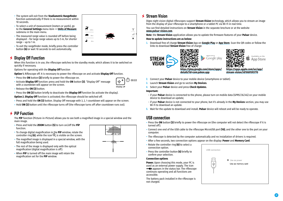- The system will exit from the **Stadiametric Rangefinder**  function automatically if there is no measurement within 10 seconds.
- To select a unit of measurement (meters or yards), go to the **General Settings** menu item => **[Units of Measure](#page-9-1)** submenu in the main menu.
- The measured range value is rounded off before being displayed – for large range values up to 5 m, for shorter range – up to 1 m.
- To exit the rangefinder mode, briefly press the controller button **(6)** or wait 10 seconds to exit automatically.

#### **Display Off Function**  $\bigstar$

When this function is in use, the riflescope switches to the standby mode, which allows it to be switched on quickly if necessary.

Options for operating with the **Display Off** function

- **Option 1.** Riflescope off. It is necessary to power the riflescope on and activate **Display Off** function.
- Press the **ON** button **(3)** briefly to power the riflescope on.
- Activate **Display Off** function: press and hold the **ON** button **(3)**. "Display Off" message with a countdown will appear on the screen.
- Release the **ON (3)** button.
- Press the **ON (3)** button briefly to deactivate the **Display Off** function (to activate the display).

**Option 2. Display Off** function is activated; the riflescope should be switched off.

- Press and hold the **ON (3)** button. Display Off message with 3, 2, 1 countdown will appear on the screen.
- Hold **ON (3)** button until the riflescope turns off (the riflescope turns off after countdown runs out).

## **PiP Function**

The **PiP** function (Picture-in-Picture) allows you to see both a magnified image in a special window and the main image.

- Press and hold the **ZOOM** button **(5)** to turn on/off the **PiP**  function.
- To change digital magnification in the **PiP** window, rotate the controller ring (6), while the icon  $\mathbb Q$  is visible on the screen.
- The magnified image is displayed in a special window, with the full magnification being used.
- The rest of the image is displayed only with the optical magnification (digital magnification is off).
- When **PiP** is turned off the main image will retain the magnification set for the **PiP** window.



<span id="page-11-0"></span>

Digex night vision digital riflescopes support **Stream Vision** technology, which allows you to stream an image from the display of your riflescope to a smartphone or a tablet PC via Wi-Fi in real time.

You can find detailed instructions on **Stream Vision** in the separate brochure or at the website **[www.pulsar-vision.com](http://www.pulsar-vision.com)**.

**Note**: the **Stream Vision** application allows you to update the firmware features of your **Pulsar** device.

#### **How to update instructions are as below:**

**1.** Download free of charge **Stream Vision** App on **[Google Play](https://play.google.com/store/apps/details?id=com.yukon.app)** or **[App Store](https://apps.apple.com/us/app/stream-vision/id1069593770)**. Scan the QR codes or follow the links to download **Stream Vision** free of charge:



- **2.** Connect your **Pulsar** device to your mobile device (smartphone or tablet).
- **3.** Launch **Stream Vision** and go to section **My Devices**.
- **4.** Select your **Pulsar** device and press **Check Updates**.

#### **Important:**

- if your **Pulsar** device is connected to the phone, please turn on mobile data (GPRS/3G/4G) on your mobile device to download an update;
- if your **Pulsar** device is not connected to your phone, but it's already in the **My Devices** section, you may use Wi-Fi to download an update.
- **5.** Wait for the update to download and install. **Pulsar** device will reboot and will be ready to operate.

## **USB connection**

- Press the **ON** button **(3)** briefly to power the riflescope on (the computer will not detect the riflescope if it is turned off).
- Connect one end of the USB cable to the riflescope MicroUSB port **(10)**, and the other one to the port on your computer.
- The riflescope is detected by the computer automatically and no installation of drivers is required.
- After a few seconds, two connection options appear on the display: **Power** and **Memory Card**.
- Rotate the controller ring **(6)** to select a connection option.
- Press the controller button **(6)** briefly to confirm your selection.

#### **Connection options**

**Power.** Upon choosing this mode, your PC is used as an external power supply. The icon

 $-\blacksquare$  appears in the status bar. The riflescope continues operating and all functions are accessible.

The battery pack installed in the riflescope is not charged.